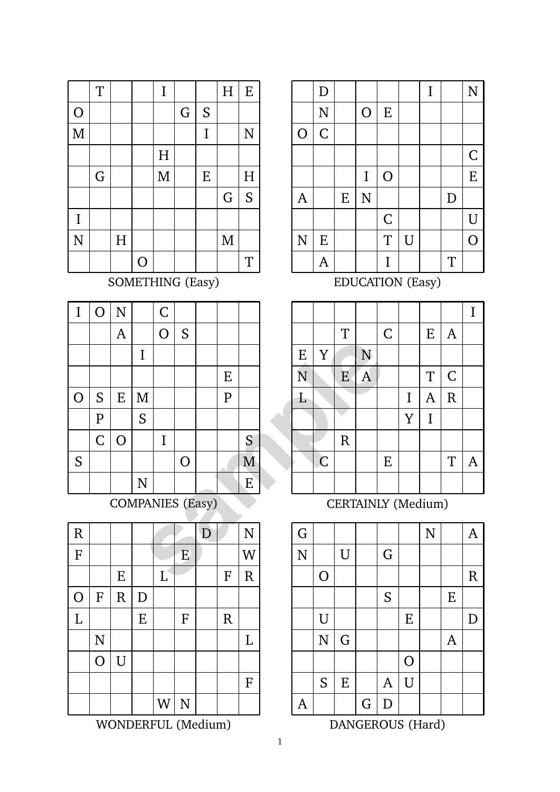|                    | T           |   |   | $\bf I$ |   |             | $\overline{H}$ | ${\bf E}$          |
|--------------------|-------------|---|---|---------|---|-------------|----------------|--------------------|
| $\overline{O}$     |             |   |   |         | G | S           |                |                    |
| $\mathbf{M}$       |             |   |   |         |   | $\mathbf I$ |                | $\overline{\rm N}$ |
|                    |             |   |   | H       |   |             |                |                    |
|                    | $\mathbf G$ |   |   | M       |   | E           |                | H                  |
|                    |             |   |   |         |   |             | $\mathsf G$    | S                  |
| $\bf I$            |             |   |   |         |   |             |                |                    |
| $\overline{\rm N}$ |             | H |   |         |   |             | M              |                    |
|                    |             |   | O |         |   |             |                | T                  |

SOMETHING (Easy)

| I           | $\overline{O}$ | N              |           | $\overline{C}$          |          |   |              |   |   |             |                  |                |              |
|-------------|----------------|----------------|-----------|-------------------------|----------|---|--------------|---|---|-------------|------------------|----------------|--------------|
|             |                | $\mathsf{A}$   |           | $\overline{O}$          | S        |   |              |   |   |             | T                |                | $\bm{\zeta}$ |
|             |                |                | I         |                         |          |   |              |   | E | Y           |                  | N              |              |
|             |                |                |           |                         |          |   | E            |   | N |             | E                | $\overline{A}$ |              |
| O           | S              | E              | M         |                         |          |   | $\mathbf{P}$ |   | Ł |             |                  |                |              |
|             | $\mathbf P$    |                | S         |                         |          |   |              |   |   |             |                  |                |              |
|             | $\mathsf C$    | $\overline{O}$ |           | I                       |          |   |              | S |   |             | $\mathbf R$      |                |              |
| S           |                |                |           |                         | $\Omega$ |   |              | M |   | $\mathsf C$ |                  |                | I            |
|             |                |                | ${\bf N}$ |                         |          |   |              | Ε |   |             |                  |                |              |
|             |                |                |           | <b>COMPANIES</b> (Easy) |          |   |              |   |   |             | <b>CERTAINLY</b> |                |              |
| $\mathbf R$ |                |                |           |                         |          | D |              | N | G |             |                  |                |              |
| $\mathbf F$ |                |                |           |                         | E        |   |              | W | N |             | U                |                | C            |
|             |                | E              |           | L                       |          |   | F            | R |   | O           |                  |                |              |

| $\mathbf R$             |                    |                |             |          |                    | D |             | $\overline{\rm N}$ |
|-------------------------|--------------------|----------------|-------------|----------|--------------------|---|-------------|--------------------|
| $\overline{\mathrm{F}}$ |                    |                |             |          | E                  |   |             | W                  |
|                         |                    | ${\bf E}$      |             | $\Gamma$ |                    |   | ${\bf F}$   | ${\bf R}$          |
| $\overline{O}$          | ${\bf F}$          | $\overline{R}$ | $\mathbf D$ |          |                    |   |             |                    |
| $\overline{L}$          |                    |                | ${\bf E}$   |          | ${\bf F}$          |   | $\mathbf R$ |                    |
|                         | $\overline{\rm N}$ |                |             |          |                    |   |             | L                  |
|                         | $\overline{O}$     | $\overline{U}$ |             |          |                    |   |             |                    |
|                         |                    |                |             |          |                    |   |             | ${\bf F}$          |
|                         |                    |                |             | W        | $\overline{\rm N}$ |   |             |                    |

WONDERFUL (Medium)

|                | $\mathbf D$        |           |                    |                |                | I |             | $\overline{\rm N}$ |
|----------------|--------------------|-----------|--------------------|----------------|----------------|---|-------------|--------------------|
|                | $\overline{\rm N}$ |           | $\overline{O}$     | ${\bf E}$      |                |   |             |                    |
| $\overline{O}$ | $\mathsf C$        |           |                    |                |                |   |             |                    |
|                |                    |           |                    |                |                |   |             | $\mathsf C$        |
|                |                    |           | $\mathbf I$        | $\overline{O}$ |                |   |             | ${\bf E}$          |
| $\mathbf{A}$   |                    | ${\bf E}$ | $\overline{\rm N}$ |                |                |   | $\mathbf D$ |                    |
|                |                    |           |                    | $\mathsf C$    |                |   |             | U                  |
| $\overline{N}$ | ${\bf E}$          |           |                    | T              | $\overline{U}$ |   |             | $\overline{O}$     |
|                | A                  |           |                    | $\mathbf I$    |                |   | T           |                    |

EDUCATION (Easy)

|                         |                |             |                |             |             |              |              | I              |
|-------------------------|----------------|-------------|----------------|-------------|-------------|--------------|--------------|----------------|
|                         |                | T           |                | $\mathsf C$ |             | ${\bf E}$    | $\mathsf{A}$ |                |
| E                       | $\mathbf Y$    |             | ${\bf N}$      |             |             |              |              |                |
| $\overline{\mathbf{N}}$ |                | E           | $\overline{A}$ |             |             | T            | $\mathsf C$  |                |
| $\mathbf{L}$            |                |             |                |             | $\mathbf I$ | $\mathsf{A}$ | $\mathbf R$  |                |
|                         |                |             |                |             | Y           | $\mathbf I$  |              |                |
|                         |                | $\mathbf R$ |                |             |             |              |              |                |
|                         | $\overline{C}$ |             |                | ${\bf E}$   |             |              | T            | $\overline{A}$ |
|                         |                |             |                |             |             |              |              |                |

CERTAINLY (Medium)



DANGEROUS (Hard)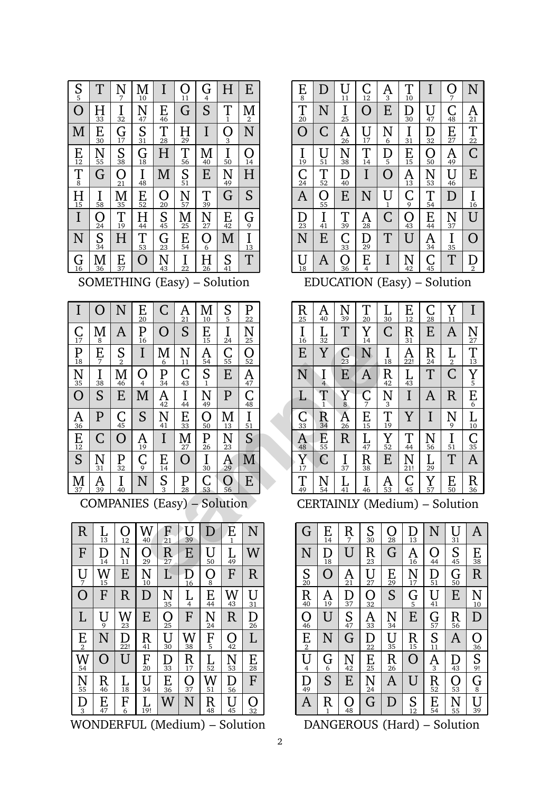| $\frac{S}{5}$        | T                     | N<br>7                | $\frac{\mathbf{M}}{10}$ | I                                           | $\displaystyle \bigcirc_{11}$ | $\frac{G}{S}$               | H                     | E                        |
|----------------------|-----------------------|-----------------------|-------------------------|---------------------------------------------|-------------------------------|-----------------------------|-----------------------|--------------------------|
| Ô                    | $\prod_{33}$          | $\prod_{32}$          | $\frac{\text{N}}{47}$   | $E_{\frac{46}{}}$                           | G                             |                             | $\prod_{1}$           | М<br>$\overline{2}$      |
| M                    | E<br>$\overline{30}$  | $\frac{G}{17}$        | $S_{\frac{31}{21}}$     | $\frac{1}{28}$                              | $\frac{1}{29}$                | I                           | $\overline{O}_3$      | N                        |
| $E_{12}$             | $\frac{\text{N}}{55}$ | S <sub>38</sub>       | $\frac{G}{18}$          | H                                           | $\prod_{56}$                  | $\frac{\text{M}}{40}$       | $\prod_{50}$          | $\overline{\Omega}_{14}$ |
| $\prod_{8}$          | G                     | Ō<br>$\frac{6}{21}$   | $\prod_{48}$            | M                                           | S <sub>51</sub>               | E                           | $\frac{\text{N}}{49}$ | $\overline{\mathrm{H}}$  |
| $H_{\frac{15}{2}}$   | $\prod_{58}$          | $\frac{\text{M}}{35}$ | $E_{\frac{52}{52}}$     | $\frac{\textstyle\bigcirc}{\textstyle{20}}$ | $\frac{\text{N}}{57}$         | $\frac{1}{39}$              | Ġ                     | S                        |
| I                    | Ω                     | $\prod_{19}$          | $\frac{H}{44}$          | $\frac{S}{45}$                              | $\frac{\text{M}}{25}$         | $\frac{N}{27}$              | $E_{42}$              | $\frac{G}{2}$            |
| N                    | $\frac{24}{5}$<br>34  | H                     | $\frac{1}{53}$          | $\frac{G}{23}$                              | $\frac{1}{54}$                | $\overline{\mathrm{O}}_{6}$ | M                     | $\overline{\prod_{13}}$  |
| $\frac{{\rm G}}{16}$ | М<br>36               | $E_{37}$              | $\overline{O}$          | $\frac{\text{N}}{43}$                       | $\prod_{22}$                  | $H_{\frac{26}{}}$           | $S_{\frac{41}{2}}$    | T                        |

SOMETHING (Easy) – Solution

| I                       | $\Omega$                           | N                      | Ε<br>$\overline{20}$    | C                    | A<br>21           | Μ<br>10                 | S<br>5                | P<br>22              | R<br>25             | A<br>40             | N<br>39               | T<br>20                       | $\frac{1}{3}$       |
|-------------------------|------------------------------------|------------------------|-------------------------|----------------------|-------------------|-------------------------|-----------------------|----------------------|---------------------|---------------------|-----------------------|-------------------------------|---------------------|
| С<br>$1\overline{7}$    | M<br>8                             | A                      | P<br>16                 | O                    | S                 | E<br>15                 | I<br>24               | N<br>25              | I<br>16             | L<br>32             | T                     | Y<br>14                       | ſ                   |
| $\frac{P}{18}$          | $\frac{E}{7}$                      | $S_{2}$                | I                       | Μ<br>6               | N<br>11           | A<br>54                 | С<br>$5\overline{5}$  | O<br>52              | E                   | Y                   | С<br>23               | N                             | $\frac{1}{1}$       |
| N<br>$\frac{1}{35}$     | I<br>38                            | М<br>46                | O<br>$\overline{4}$     | P<br>$\overline{3}4$ | $\frac{C}{43}$    | S<br>$\mathbf{1}$       | E                     | A<br>$\overline{47}$ | Ñ                   | Ι<br>$\overline{4}$ | E                     | A                             | F<br>$\overline{a}$ |
| $\overline{O}$          | S                                  | E                      | M                       | A<br>42              | I<br>44           | N<br>49                 | $\mathbf{P}$          | C<br>48              | L                   | T<br>$\mathbf{1}$   | Ÿ<br>8                | $\mathsf C$<br>$\overline{7}$ | Ņ                   |
| A<br>36                 | $\mathbf{P}$                       | $\frac{C}{45}$         | S                       | N<br>41              | E<br>33           | O<br>50                 | М<br>13               | I<br>51              | С<br>33             | $\rm R$<br>34       | A<br>26               | E<br>15                       | ŋ<br>$\overline{1}$ |
| $E_{12}$                | C                                  | O                      | A<br>19                 | I                    | М<br>27           | P<br>26                 | N<br>23               | S                    | A<br>48             | E<br>55             | R                     | L<br>47                       | $\sum_{5}$          |
| S                       | N<br>31                            | P<br>32                | $\operatorname*{C}_{9}$ | $E_{14}$             | O                 | I<br>30                 | $\frac{\text{A}}{29}$ | M                    | $\overline{Y}_{17}$ | C                   | I<br>37               | R<br>38                       | I                   |
| $\frac{\mathbf{M}}{37}$ | A<br>39                            | I<br>40                | N                       | S<br>3               | $\mathbf{P}_{28}$ | $\frac{\textsf{C}}{53}$ | O<br>56               | E                    | T<br>49             | N<br>54             | L<br>41               | I<br>46                       | $\frac{1}{5}$       |
|                         | <b>COMPANIES</b> (Easy) – Solution |                        |                         |                      |                   |                         |                       |                      |                     |                     | <b>CERTAINLY</b> (Med |                               |                     |
|                         | $\rm R$<br>L<br>13                 | ( )<br>$\overline{12}$ | W<br>40                 | F<br>$\overline{2}1$ | U<br>39           | D                       | E<br>$\mathbf{1}$     | N                    | G                   | E<br>14             | R<br>7                | S<br>30                       |                     |
|                         | F<br>D<br>14                       | N<br>11                | O<br>29                 | R<br>$\overline{27}$ | E                 | U<br>50                 | L<br>49               | W                    | N                   | D<br>18             | U                     | R<br>23                       |                     |
|                         | W<br>U                             | E                      | N                       | $\Gamma$             | D                 | Ω                       | F                     | $\mathbf R$          | $S_{\infty}$        | ∩                   | A                     | U                             |                     |



WONDERFUL (Medium) – Solution

| $\frac{E}{8}$                         | D                                                                                     | 11                  | $\frac{{\sf C}}{12}$    | A<br>3               | T<br>10                          | I                    | Ω<br>7               | N              |  |  |  |  |
|---------------------------------------|---------------------------------------------------------------------------------------|---------------------|-------------------------|----------------------|----------------------------------|----------------------|----------------------|----------------|--|--|--|--|
| $\frac{1}{20}$                        | N                                                                                     | 25                  | Ω                       | E                    | D<br>$\overline{30}$             | U<br>47              | $\frac{C}{48}$       | Ą<br>21        |  |  |  |  |
| $\overline{O}$                        | $\overline{\mathsf{C}}$                                                               | A<br>$\frac{1}{26}$ | ΙI<br>17                | $\frac{\text{N}}{6}$ | I<br>31                          | $\overline{32}$      | $E_{\frac{27}{}}$    | $\frac{1}{22}$ |  |  |  |  |
| $\frac{1}{19}$                        | U<br>51                                                                               | Ñ<br>38             | $\prod_{14}$            | $\mathop{\rm D}_5$   | $\frac{\text{E}}{15}$            | $\overline{O}$<br>50 | A<br>49              | Ć              |  |  |  |  |
| $\overline{\mathrm{C}}$ <sub>24</sub> | T<br>$\overline{52}$                                                                  | D<br>$\frac{1}{40}$ | Ī                       | O                    | Ą<br>$\overline{13}$             | N<br>53              | Ū<br>46              | E              |  |  |  |  |
| $\overline{A}$                        | Ω<br>55                                                                               | E                   | N                       | U<br>1               | $\frac{C}{9}$                    | T<br>$\overline{54}$ | D                    | I<br>16        |  |  |  |  |
| $\frac{D}{23}$                        | I<br>$\overline{41}$                                                                  | T<br>$\frac{1}{39}$ | $\frac{\mathsf{A}}{28}$ | $\overline{C}$       | $\overline{O}$<br>$\frac{1}{43}$ | E<br>$\frac{1}{44}$  | N<br>$rac{1}{37}$    | U              |  |  |  |  |
| N                                     | E                                                                                     | $\frac{C}{33}$      | D<br>$\frac{1}{29}$     | T                    | Ū                                | A<br>$\overline{34}$ | I<br>$\overline{35}$ | C              |  |  |  |  |
| U<br>18                               | Ć<br>T<br>O<br>E<br>N<br>A<br>Е<br>$\overline{45}$<br>$\overline{2}$<br>4<br>36<br>42 |                     |                         |                      |                                  |                      |                      |                |  |  |  |  |
| Solution<br>EDUCATION<br>(Easy)       |                                                                                       |                     |                         |                      |                                  |                      |                      |                |  |  |  |  |

I T C E A E Y N N E A T C L I A R Y I R C E T A T<sub>1</sub>  $\mathbf{L}$  $\sum_{3}$  $\mathbf I$  $rac{Y}{E_6}$  $\frac{C}{7}$  $\sum_{8}$  $\mathop{\rm N}_9$  $L_{10}$ Y<sub>11</sub>  $E_{12}$  $\prod_{13}$  $\frac{Y}{14}$  $\frac{14}{N}$  $\frac{A}{C^2}$  $\frac{C}{E}$  $E_{15}$  $\prod_{16}$  $\frac{16}{16}\overline{\text{E}}$   $\frac{1}{\text{N}}$   $\frac{1}{\text{L}}$   $\frac{1}{\text{C}}$   $\frac{1}{33}\overline{\text{A}}$   $\frac{1}{\text{N}}$   $\frac{1}{\text{N}}$  $\overline{Y}$ <sub>17</sub>  $\prod_{18}$  $\frac{18}{R_4}$  $\frac{12}{N_3}$  $\frac{1}{T_4}$  $\prod_{19}$ T 20 N  $\frac{A_{22!}}{L_{43}}$   $\frac{L_{43}}{I}$   $\frac{V}{N_{21!}}$  $A_{22!}$ C 23  $\operatorname*{R}_{24}$ R 25  $\frac{\mathsf{A}}{26}$ N 27  $\int_{28}$  $\frac{28}{12}$   $\frac{12}{12}$   $\frac{12}{12}$   $\frac{12}{12}$   $\frac{12}{12}$  $\frac{L}{29}$  $\frac{L}{30}$ R 31  $\frac{L}{32}$  $\frac{\overline{C}}{33}$ R 34  $\overline{\text{C}}$ <sub>35</sub>  $\frac{35}{\text{A}}$ <br> $\frac{\text{R}}{36}$  $\prod_{37}$ R 38 N 39 A 40 L 41 R 42  $\underline{\underline{L}}_{43}$  $\frac{43}{1}$ <br> $\frac{1}{1}$  $\frac{44}{N}$ <br> $\frac{21!}{C}$  $\frac{C}{45}$  $\prod_{46}$  $\frac{\mathrm{L}_7}{\mathrm{R}_3}$   $\frac{\mathrm{L}_7}{\mathrm{R}_4}$  $\frac{L}{47}$  $A_{48}$  $\frac{48}{Y}}_{17}$  $\overline{T}$  $E$ <sub>50</sub>  $\frac{1}{151}$   $\frac{1}{150}$  $\overline{\underline{\underline{I}}_{51}}$  $\overline{Y}_{\frac{52}{}}$  $\frac{52}{\text{E}}$ <br>A<sub>53</sub> N  $\frac{\text{E}\,\text{ss}}{\text{C}}$   $\frac{\text{N}}{\text{S4}}$  $\underline{\mathbf{E}}_{\mathbf{55}}$  $\overline{\text{N}}$ <sub>56</sub>  $\frac{56}{29}$  $\frac{1}{Y}$  $\frac{Y}{57}$ CERTAINLY (Medium) – Solution

G N A N U G O R S E U E D N G A O S E A U A  $\frac{R}{1}$ G D  $\frac{1}{2}$  $\frac{A}{3}$  $U_4$  $\overline{G}$  $\operatorname*{G}_{6}$  $\mathbf{R}$  $rac{S}{G}$  $\frac{N_{10}}{D}$ <br> $\frac{1}{20}$ <br> $\frac{36}{5}$ <br> $\frac{S}{9!}$  $\displaystyle \prod_{10}$ S 11 S  $\frac{\Gamma_{13}}{\Gamma_{14}}\frac{\Gamma_{15}}{\Gamma_{15}}\frac{\Gamma_{16}}{\Gamma_{16}}\frac{\Gamma_{18}}{\Gamma_{18}}\frac{\Gamma_{18}}{\Gamma_{18}}$  $\prod_{13}$ E 14 R  $A_{16}$   $N_{17}$   $G_5$   $E_{15}$   $R_{15}$  $\frac{16}{N_{17}}$  $\frac{D}{18}$  $\frac{18}{\Omega}$ <br> $\frac{\text{A}}{19}$ S 20  $\frac{\mathsf{A}}{21}$  $\sum_{\infty}$  $R_2$ <br> $\frac{23}{2}$   $\frac{1}{2}$   $\frac{1}{2}$   $\frac{1}{2}$   $\frac{1}{2}$   $\frac{1}{2}$   $\frac{1}{2}$   $\frac{1}{2}$   $\frac{1}{2}$  $\frac{23}{12} \frac{U_{27}}{O_{32}} \frac{O_{32}}{A_{33}} \frac{A_{33}}{D_{22}} \frac{1}{E_{25}} \frac{1}{N}$  $\sum_{24}$  $E_{25}$ R 26  $U_{27}$  $\frac{0}{28}$  $\frac{28}{\text{G}}$  $E_{29}$ S 30  $U_3$  $\overline{\bigcup_{32}}$  $\frac{32}{33}$  $\sum_{34}$  $rac{34}{5}$ O 36 D 37  $E_{38}$  $\frac{38}{10}$   $\frac{1}{10}$   $\frac{1}{10}$   $\frac{1}{10}$   $\frac{1}{10}$   $\frac{1}{10}$   $\frac{1}{10}$   $\frac{1}{10}$   $\frac{1}{10}$   $\frac{1}{10}$   $\frac{1}{10}$   $\frac{1}{10}$   $\frac{1}{10}$   $\frac{1}{10}$   $\frac{1}{10}$   $\frac{1}{10}$   $\frac{1}{10}$   $\frac{1}{10}$   $\frac{1}{10}$   $\frac{1}{10}$   $\bigcup_{39}$ R 40 U 41 N 42 D 43 O 44 S 45 O 46  $\overline{\mathsf{S}}$ <sub>47</sub>  $\frac{47}{10}$  $\frac{1}{10}$  $\frac{1}{10}$  $\frac{42}{10}$  $\overline{Q}_4$ D 49  $\frac{G}{50}$  $\prod_{51}$  $\frac{51}{10}$   $\frac{11}{10}$   $\frac{11}{10}$   $\frac{11}{10}$   $\frac{13}{10}$   $\frac{13}{10}$   $\frac{13}{10}$   $\frac{13}{10}$   $\frac{13}{10}$   $\frac{13}{10}$  $\underset{52}{\text{R}}$ O 53 E 54  $\sum_{55}$  $R_{\frac{56}{12}}A_{\frac{13}{12}}\overline{O_{\frac{53}{55}}}\overline{N}$  $\underset{56}{R}$ G 57

DANGEROUS (Hard) – Solution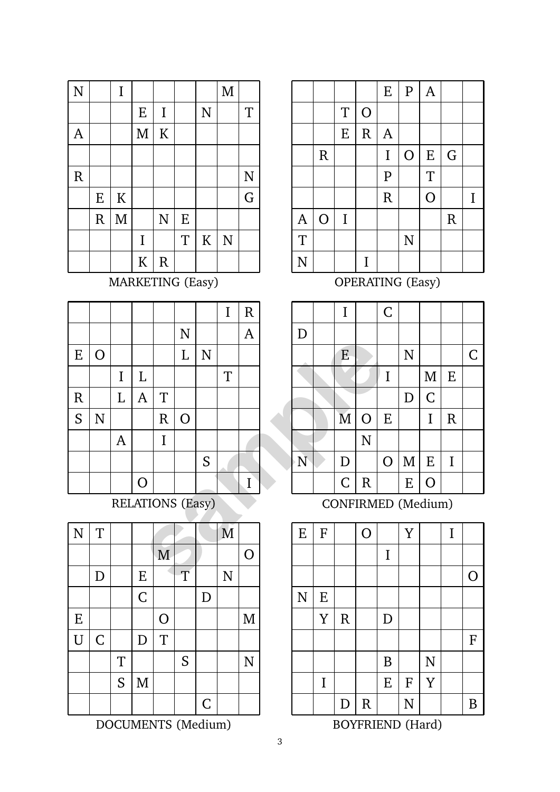| $\overline{\rm N}$ |             | $\mathbf I$  |              |                |           |                | $\mathbf M$ |   |
|--------------------|-------------|--------------|--------------|----------------|-----------|----------------|-------------|---|
|                    |             |              | ${\bf E}$    | $\mathbf I$    |           | $\overline{N}$ |             | T |
| A                  |             |              | $\mathbf{M}$ | $\rm K$        |           |                |             |   |
|                    |             |              |              |                |           |                |             |   |
| ${\bf R}$          |             |              |              |                |           |                |             | N |
|                    | ${\bf E}$   | ${\bf K}$    |              |                |           |                |             | G |
|                    | $\mathbf R$ | $\mathbf{M}$ |              | $\overline{N}$ | ${\bf E}$ |                |             |   |
|                    |             |              | $\mathbf I$  |                | T         | $\rm K$        | N           |   |
|                    |             |              | ${\bf K}$    | $\mathbf R$    |           |                |             |   |

MARKETING (Easy)

|             |                |                |              |                         |                |   | I | $\mathsf R$    |   |                  | I                       |                  | C              |
|-------------|----------------|----------------|--------------|-------------------------|----------------|---|---|----------------|---|------------------|-------------------------|------------------|----------------|
|             |                |                |              |                         | $\mathbf N$    |   |   | $\mathsf{A}$   | D |                  |                         |                  |                |
| E           | $\overline{O}$ |                |              |                         | L              | N |   |                |   |                  | E                       |                  |                |
|             |                | I              | L            |                         |                |   | T |                |   |                  |                         |                  |                |
| $\mathbf R$ |                | L              | $\mathbf{A}$ | T                       |                |   |   |                |   |                  |                         |                  |                |
| S           | $\mathbf N$    |                |              | $\rm R$                 | $\overline{O}$ |   |   |                |   |                  | $\overline{\mathbf{M}}$ | $\mathbf O$      | I              |
|             |                | $\overline{A}$ |              | I                       |                |   |   |                |   |                  |                         | $\overline{N}$   |                |
|             |                |                |              |                         |                | S |   |                | N |                  | D                       |                  | $\overline{C}$ |
|             |                |                | $\Omega$     |                         |                |   |   | I              |   |                  | $\mathsf C$             | $\mathbf R$      |                |
|             |                |                |              | <b>RELATIONS (Easy)</b> |                |   |   |                |   |                  |                         | <b>CONFIRMEI</b> |                |
| N           | T              |                |              |                         |                |   | M |                | E | $\boldsymbol{F}$ |                         | $\overline{O}$   |                |
|             |                |                |              | M                       |                |   |   | $\overline{O}$ |   |                  |                         |                  | j              |
|             | D              |                | E            |                         | T              |   | N |                |   |                  |                         |                  |                |

| $\overline{N}$ | T           |             |                |                |   |             | M              |                |
|----------------|-------------|-------------|----------------|----------------|---|-------------|----------------|----------------|
|                |             |             |                | M              |   |             |                | $\overline{O}$ |
|                | D           |             | ${\bf E}$      |                | T |             | $\overline{N}$ |                |
|                |             |             | $\overline{C}$ |                |   | D           |                |                |
| ${\bf E}$      |             |             |                | $\overline{O}$ |   |             |                | M              |
| $\overline{U}$ | $\mathsf C$ |             | $\mathbf D$    | T              |   |             |                |                |
|                |             | $\mathbf T$ |                |                | S |             |                | N              |
|                |             | S           | $\mathbf M$    |                |   |             |                |                |
|                |             |             |                |                |   | $\mathsf C$ |                |                |

DOCUMENTS (Medium)

|                |                |           |                | ${\bf E}$    | ${\bf P}$      | $\overline{A}$ |             |   |
|----------------|----------------|-----------|----------------|--------------|----------------|----------------|-------------|---|
|                |                | T         | $\overline{O}$ |              |                |                |             |   |
|                |                | ${\bf E}$ | ${\bf R}$      | $\mathbf{A}$ |                |                |             |   |
|                | $\mathbf R$    |           |                | $\mathbf I$  | $\overline{O}$ | E              | G           |   |
|                |                |           |                | ${\bf P}$    |                | $\overline{T}$ |             |   |
|                |                |           |                | $\mathsf{R}$ |                | $\overline{O}$ |             | I |
| $\mathbf{A}$   | $\overline{O}$ | $\rm I$   |                |              |                |                | $\mathbf R$ |   |
| $\overline{T}$ |                |           |                |              | $\overline{N}$ |                |             |   |
| $\mathbf N$    |                |           | I              |              |                |                |             |   |

OPERATING (Easy)

|              | $\mathbf I$             |                    | $\overline{C}$ |                |                |             |             |
|--------------|-------------------------|--------------------|----------------|----------------|----------------|-------------|-------------|
| D            |                         |                    |                |                |                |             |             |
|              | E                       |                    |                | $\overline{N}$ |                |             | $\mathsf C$ |
|              |                         |                    | I              |                | $\mathbf{M}$   | ${\bf E}$   |             |
|              |                         |                    |                | D              | $\overline{C}$ |             |             |
|              | $\overline{\mathbf{M}}$ | $\overline{O}$     | ${\bf E}$      |                | $\mathbf I$    | $\mathbf R$ |             |
|              |                         | $\overline{\rm N}$ |                |                |                |             |             |
| $\mathbf{N}$ | $\mathbf D$             |                    | $\overline{O}$ | $\mathbf M$    | ${\bf E}$      | $\mathbf I$ |             |
|              | $\overline{C}$          | $\mathbf R$        |                | ${\bf E}$      | $\overline{O}$ |             |             |

CONFIRMED (Medium)



BOYFRIEND (Hard)